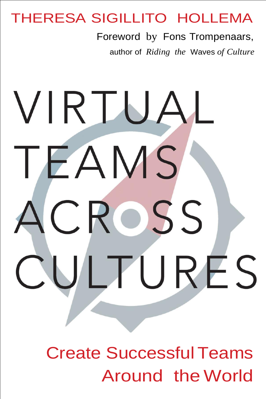## THERESA SIGILLITO HOLLEMA

Foreword by Fons Trompenaars,

author of *Riding the* Waves *of Culture*

# VIRTUAL TEAMS CROSS LTURES

**Create Successful Teams** Around the World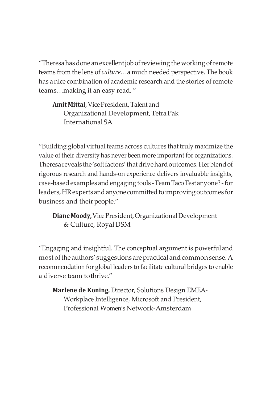"Theresa has done an excellent job of reviewing the working of remote teams from the lens of *culture*…a much needed perspective. The book has a nice combination of academic research and the stories of remote teams…making it an easy read. "

**Amit Mittal,** VicePresident,Talentand Organizational Development,TetraPak International SA

"Building global virtual teams across cultures that truly maximize the value of their diversity has never been more important for organizations. Theresa reveals the 'soft factors' that drive hard outcomes. Herblend of rigorous research and hands-on experience delivers invaluable insights, case-basedexamples andengaging tools -TeamTacoTestanyone? -for leaders, HR experts and anyone committed to improving outcomes for business and their people."

**DianeMoody,**VicePresident,OrganizationalDevelopment & Culture, RoyalDSM

"Engaging and insightful. The conceptual argument is powerfuland most of the authors' suggestions are practical and common sense. A recommendation for global leaders to facilitate cultural bridges to enable a diverse team tothrive."

**Marlene de Koning,** Director, Solutions Design EMEA-Workplace Intelligence, Microsoft and President, Professional Women's Network-Amsterdam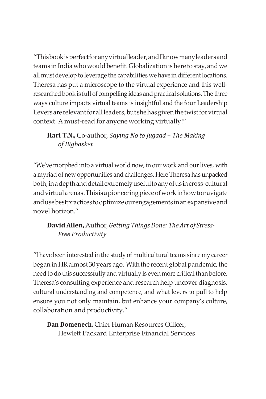"Thisbookisperfectforanyvirtualleader,andIknowmanyleadersand teams in India who would benefit. Globalization is here to stay, and we all must develop to leverage the capabilities we have in different locations. Theresa has put a microscope to the virtual experience and this wellresearched book is full of compelling ideas and practical solutions. The three ways culture impacts virtual teams is insightful and the four Leadership Levers are relevant for all leaders, but she has given the twist for virtual context. A must-read for anyone working virtually!"

**Hari T.N.,** Co-author, *Saying No to Jugaad – The Making of Bigbasket*

"We've morphed into a virtual world now, in our work and our lives, with a myriad of new opportunities and challenges. Here Theresa has unpacked both, in a depth and detail extremely useful to any of us in cross-cultural and virtual arenas. This is a pioneering piece of work in how to navigate andusebestpractices tooptimizeourengagements inanexpansiveand novel horizon."

**David Allen,** Author,*Getting Things Done: The Art of Stress-Free Productivity*

"I have been interested in the study of multicultural teams since my career began in HR almost 30 years ago. With the recent global pandemic, the need to do this successfully and virtually is even more critical than before. Theresa's consulting experience and research help uncover diagnosis, cultural understanding and competence, and what levers to pull to help ensure you not only maintain, but enhance your company's culture, collaboration and productivity."

**Dan Domenech,** Chief Human Resources Officer, Hewlett Packard Enterprise Financial Services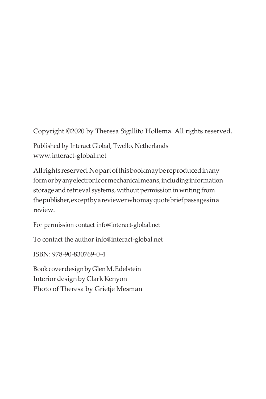Copyright ©2020 by Theresa Sigillito Hollema. All rights reserved.

Published by Interact Global, Twello, Netherlands [www.interact-global.net](http://www.interact-global.net/)

Allrightsreserved.Nopartofthisbookmaybereproducedinany formorbyanyelectronicormechanicalmeans,includinginformation storage and retrieval systems, without permission in writing from thepublisher,exceptbyareviewerwhomayquotebriefpassagesina review.

For permission contact [info@interact-global.net](mailto:info@interact-global.net)

To contact the author [info@interact-global.net](mailto:info@interact-global.net)

ISBN: 978-90-830769-0-4

BookcoverdesignbyGlenM.Edelstein Interiordesign byClark Kenyon Photo of Theresa by Grietje Mesman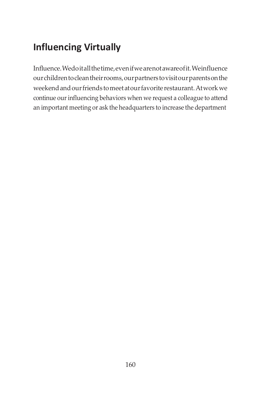### **Influencing Virtually**

Influence.Wedoitallthetime,evenifwearenotawareofit.Weinfluence ourchildrentocleantheirrooms,ourpartners tovisitourparentsonthe weekendandourfriends tomeetatourfavorite restaurant.Atworkwe continue our influencing behaviors when we request a colleague to attend an important meeting or ask the headquarters to increase the department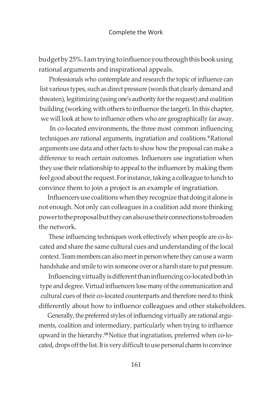budget by 25%. I am trying to influence you through this book using rational arguments and inspirational appeals.

Professionals who contemplate and research the topic of influence can list various types, such as direct pressure (words that clearly demand and threaten), legitimizing (using one's authority for the request) and coalition building (working with others to influence the target). In this chapter, we will look at how to influence others who are geographically far away.

In co-located environments, the three most common influencing techniques are rational arguments, ingratiation and coalitions.**<sup>9</sup>**Rational arguments use data and other facts to show how the proposal can make a difference to reach certain outcomes. Influencers use ingratiation when they use their relationship to appeal to the influencer by making them feel good about the request. For instance, taking a colleague to lunch to convince them to join a project is an example of ingratiation.

Influencers use coalitions when they recognize that doing it alone is not enough. Not only can colleagues in a coalition add more thinking powertotheproposalbuttheycanalsousetheirconnections tobroaden the network.

These influencing techniques work effectively when people are co-located and share the same cultural cues and understanding of the local context. Team members can also meet in person where they can use a warm handshake and smile to win someone over or a harsh stare to put pressure.

Influencing virtually is different than influencing co-located both in type and degree. Virtual influencers lose many of the communication and cultural cues of their co-located counterparts and therefore need to think differently about how to influence colleagues and other stakeholders.

Generally, the preferred styles of influencing virtually are rational arguments, coalition and intermediary, particularly when trying to influence upward in the hierarchy.**<sup>10</sup>**Notice that ingratiation, preferred when co-located, drops off the list. It is very difficult to use personal charm to convince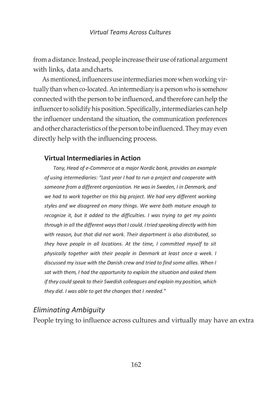from a distance. Instead, people increase their use of rational argument with links, data andcharts.

As mentioned, influencers use intermediaries more when working virtually than when co-located. Anintermediary is a person who is somehow connected with the person to be influenced, and therefore can help the influencer to solidify his position. Specifically, intermediaries can help the influencer understand the situation, the communication preferences and other characteristics of the person to be influenced. They may even directly help with the influencing process.

#### **Virtual Intermediaries in Action**

*Tony, Head of e-Commerce at a major Nordic bank, provides an example of using intermediaries: "Last year I had to run a project and cooperate with someone from a different organization. He was in Sweden, I in Denmark, and*  we had to work together on this big project. We had very different working *styles and we disagreed on many things. We were both mature enough to recognize it, but it added to the difficulties. I was trying to get my points through in all the different waysthat I could. I tried speaking directly with him with reason, but that did not work. Their department is also distributed, so they have people in all locations. At the time, I committed myself to sit physically together with their people in Denmark at least once a week. I discussed my issue with the Danish crew and tried to find some allies. When I sat with them, I had the opportunity to explain the situation and asked them if they could speak to their Swedish colleagues and explain my position, which they did. I was able to get the changes that I needed."*

#### *Eliminating Ambiguity*

People trying to influence across cultures and virtually may have an extra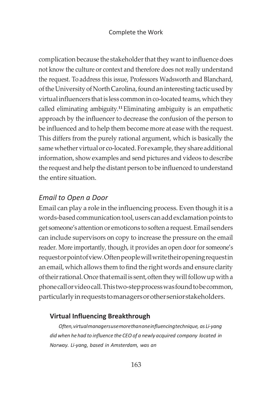complication because the stakeholder that they want to influence does not know the culture or context and therefore does not really understand the request. To address this issue, Professors Wadsworth and Blanchard, of the University of North Carolina, found an interesting tactic used by virtual influencers that is less common in co-located teams, which they called eliminating ambiguity.**<sup>11</sup>**Eliminating ambiguity is an empathetic approach by the influencer to decrease the confusion of the person to be influenced and to help them become more at ease with the request. This differs from the purely rational argument, which is basically the same whether virtual or co-located. For example, they share additional information, show examples and send pictures and videos to describe the request and help the distant person to be influenced to understand the entire situation.

#### *Email to Open a Door*

Email can play a role in the influencing process. Even though it is a words-based communication tool, users can add exclamation points to get someone's attention or emoticons to soften a request.Email senders can include supervisors on copy to increase the pressure on the email reader. More importantly, though, it provides an open door for someone's requestorpointofview.Oftenpeoplewillwritetheiropeningrequestin an email, which allows them to find the right words and ensure clarity of their rational. Once that email is sent, often they will follow up with a phonecallorvideocall.Thistwo-stepprocesswasfoundtobecommon, particularlyinrequeststomanagersorotherseniorstakeholders.

#### **Virtual Influencing Breakthrough**

*Often,virtualmanagersusemorethanoneinfluencingtechnique, as Li-yang did when hehad to influence the CEO of a newly acquired company located in Norway. Li-yang, based in Amsterdam, was an*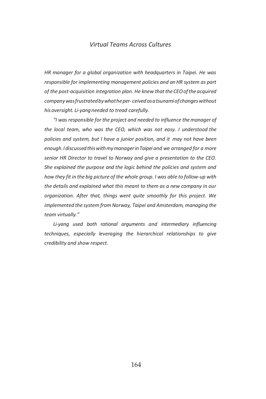#### *Virtual Teams Across Cultures*

*HR manager for a global organization with headquarters in Taipei. He was responsible for implementing management policies and an HR system as part*  of the post-acquisition integration plan. He knew that the CEO of the acquired *companywasfrustratedbywhatheper- ceivedasatsunamiofchangeswithout his oversight. Li-yangneeded to tread carefully.*

*"I was responsible for the project and needed to influence the manager of the local team, who was the CEO, which was not easy. I understood the policies and system, but I have a junior position, and it may not have been enough.IdiscussedthiswithmymanagerinTaipei and we arranged for a more senior HR Director to travel to Norway and give a presentation to the CEO. She explained the purpose and the logic behind the policies and system and how they fit in the big picture of the whole group. I was able to follow-up with the details and explained what this meant to them as a new company in our organization. After that, things went quite smoothly for this project. We implemented the system from Norway, Taipei and Amsterdam, managing the team virtually."*

*Li-yang used both rational arguments and intermediary influencing techniques, especially leveraging the hierarchical relationships to give credibility and show respect.*

164